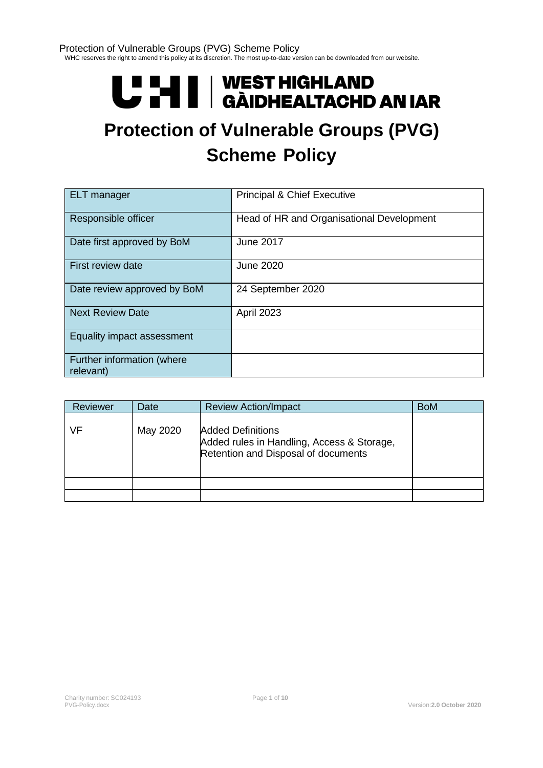# U LI | WEST HIGHLAND<br>U LI | GÀIDHEALTACHD AN IAR

## **Protection of Vulnerable Groups (PVG) Scheme Policy**

| <b>ELT</b> manager                      | <b>Principal &amp; Chief Executive</b>    |
|-----------------------------------------|-------------------------------------------|
| Responsible officer                     | Head of HR and Organisational Development |
| Date first approved by BoM              | <b>June 2017</b>                          |
| First review date                       | <b>June 2020</b>                          |
| Date review approved by BoM             | 24 September 2020                         |
| <b>Next Review Date</b>                 | April 2023                                |
| Equality impact assessment              |                                           |
| Further information (where<br>relevant) |                                           |

| <b>Reviewer</b> | Date     | <b>Review Action/Impact</b>                                                                                   | <b>BoM</b> |
|-----------------|----------|---------------------------------------------------------------------------------------------------------------|------------|
| VF              | May 2020 | <b>Added Definitions</b><br>Added rules in Handling, Access & Storage,<br>Retention and Disposal of documents |            |
|                 |          |                                                                                                               |            |
|                 |          |                                                                                                               |            |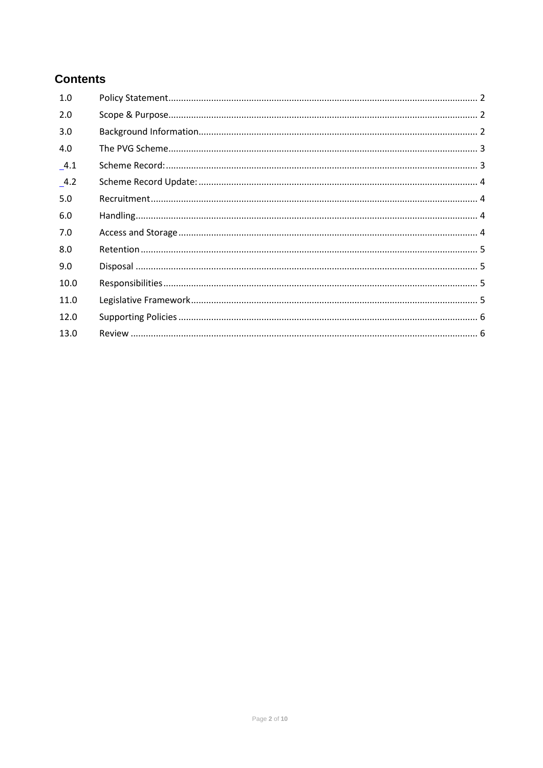#### **Contents**

| 1.0     |  |
|---------|--|
| 2.0     |  |
| 3.0     |  |
| 4.0     |  |
| $\_4.1$ |  |
| $-4.2$  |  |
| 5.0     |  |
| 6.0     |  |
| 7.0     |  |
| 8.0     |  |
| 9.0     |  |
| 10.0    |  |
| 11.0    |  |
| 12.0    |  |
| 13.0    |  |
|         |  |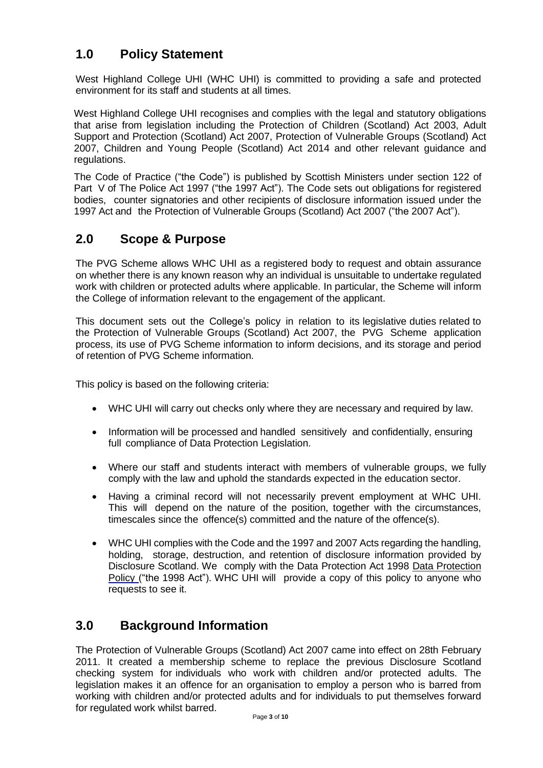#### <span id="page-2-0"></span>**1.0 Policy Statement**

West Highland College UHI (WHC UHI) is committed to providing a safe and protected environment for its staff and students at all times.

West Highland College UHI recognises and complies with the legal and statutory obligations that arise from legislation including the Protection of Children (Scotland) Act 2003, Adult Support and Protection (Scotland) Act 2007, Protection of Vulnerable Groups (Scotland) Act 2007, Children and Young People (Scotland) Act 2014 and other relevant guidance and regulations.

The Code of Practice ("the Code") is published by Scottish Ministers under section 122 of Part V of The Police Act 1997 ("the 1997 Act"). The Code sets out obligations for registered bodies, counter signatories and other recipients of disclosure information issued under the 1997 Act and the Protection of Vulnerable Groups (Scotland) Act 2007 ("the 2007 Act").

#### <span id="page-2-1"></span>**2.0 Scope & Purpose**

The PVG Scheme allows WHC UHI as a registered body to request and obtain assurance on whether there is any known reason why an individual is unsuitable to undertake regulated work with children or protected adults where applicable. In particular, the Scheme will inform the College of information relevant to the engagement of the applicant.

This document sets out the College's policy in relation to its legislative duties related to the Protection of Vulnerable Groups (Scotland) Act 2007, the PVG Scheme application process, its use of PVG Scheme information to inform decisions, and its storage and period of retention of PVG Scheme information.

This policy is based on the following criteria:

- WHC UHI will carry out checks only where they are necessary and required by law.
- Information will be processed and handled sensitively and confidentially, ensuring full compliance of Data Protection Legislation.
- Where our staff and students interact with members of vulnerable groups, we fully comply with the law and uphold the standards expected in the education sector.
- Having a criminal record will not necessarily prevent employment at WHC UHI. This will depend on the nature of the position, together with the circumstances, timescales since the offence(s) committed and the nature of the offence(s).
- WHC UHI complies with the Code and the 1997 and 2007 Acts regarding the handling, holding, storage, destruction, and retention of disclosure information provided by Disclosure Scotland. We comply with the Data Protection Act 1998 Data Protection Policy ("the 1998 Act"). WHC UHI will provide a copy of this policy to anyone who requests to see it.

#### <span id="page-2-2"></span>**3.0 Background Information**

The Protection of Vulnerable Groups (Scotland) Act 2007 came into effect on 28th February 2011. It created a membership scheme to replace the previous Disclosure Scotland checking system for individuals who work with children and/or protected adults. The legislation makes it an offence for an organisation to employ a person who is barred from working with children and/or protected adults and for individuals to put themselves forward for regulated work whilst barred.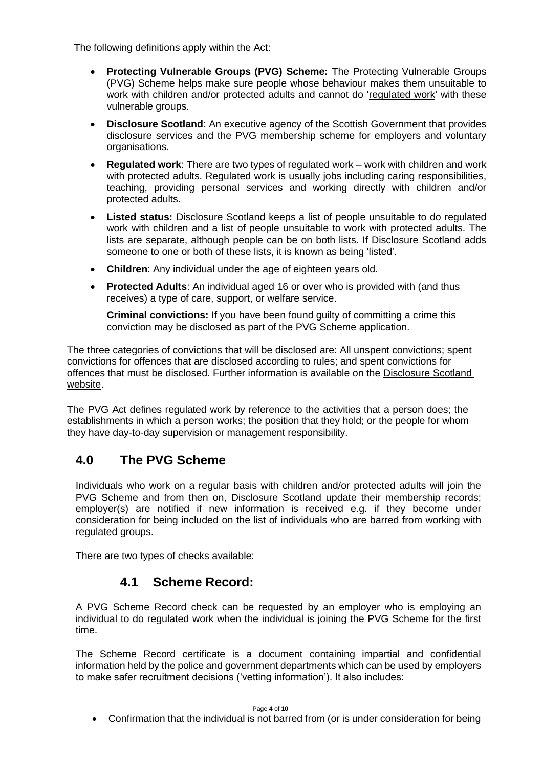The following definitions apply within the Act:

- **Protecting Vulnerable Groups (PVG) Scheme:** The Protecting Vulnerable Groups (PVG) Scheme helps make sure people whose behaviour makes them unsuitable to work with children and/or protected adults and cannot do ['regulated work'](https://www.mygov.scot/pvg-scheme/types-of-work-covered-by-pvg/) with these vulnerable groups.
- **Disclosure Scotland**: An executive agency of the Scottish Government that provides disclosure services and the PVG membership scheme for employers and voluntary organisations.
- **Regulated work**: There are two types of regulated work work with children and work with protected adults. Regulated work is usually jobs including caring responsibilities, teaching, providing personal services and working directly with children and/or protected adults.
- **Listed status:** Disclosure Scotland keeps a list of people unsuitable to do regulated work with children and a list of people unsuitable to work with protected adults. The lists are separate, although people can be on both lists. If Disclosure Scotland adds someone to one or both of these lists, it is known as being 'listed'.
- **Children**: Any individual under the age of eighteen years old.
- **Protected Adults**: An individual aged 16 or over who is provided with (and thus receives) a type of care, support, or welfare service.

**Criminal convictions:** If you have been found guilty of committing a crime this conviction may be disclosed as part of the PVG Scheme application.

The three categories of convictions that will be disclosed are: All unspent convictions; spent convictions for offences that are disclosed according to rules; and spent convictions for offences that must be disclosed. Further information is available on the [Disclosure Scotland](https://www.mygov.scot/convictions-higher-disclosures/)  [website.](https://www.mygov.scot/convictions-higher-disclosures/)

The PVG Act defines regulated work by reference to the activities that a person does; the establishments in which a person works; the position that they hold; or the people for whom they have day-to-day supervision or management responsibility.

#### <span id="page-3-0"></span>**4.0 The PVG Scheme**

Individuals who work on a regular basis with children and/or protected adults will join the PVG Scheme and from then on, Disclosure Scotland update their membership records; employer(s) are notified if new information is received e.g. if they become under consideration for being included on the list of individuals who are barred from working with regulated groups.

<span id="page-3-1"></span>There are two types of checks available:

#### **4.1 Scheme Record:**

A PVG Scheme Record check can be requested by an employer who is employing an individual to do regulated work when the individual is joining the PVG Scheme for the first time.

The Scheme Record certificate is a document containing impartial and confidential information held by the police and government departments which can be used by employers to make safer recruitment decisions ('vetting information'). It also includes:

#### Page **4** of **10**

• Confirmation that the individual is not barred from (or is under consideration for being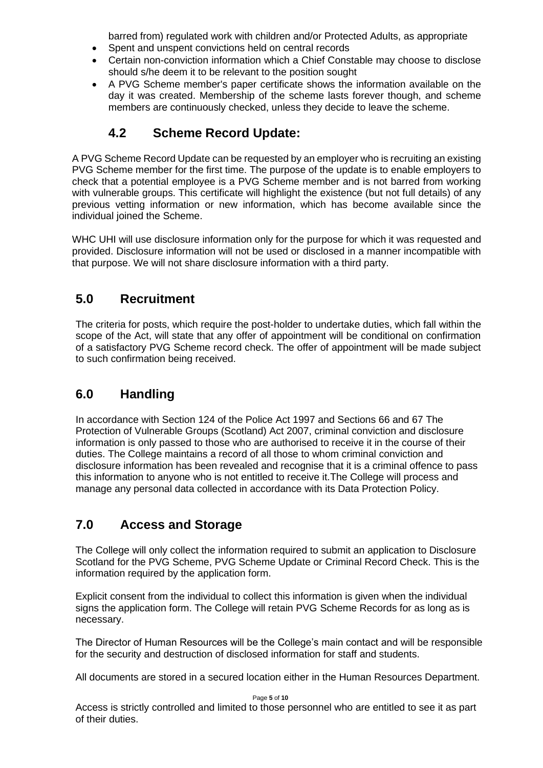barred from) regulated work with children and/or Protected Adults, as appropriate

- Spent and unspent convictions held on central records
- Certain non-conviction information which a Chief Constable may choose to disclose should s/he deem it to be relevant to the position sought
- A PVG Scheme member's paper certificate shows the information available on the day it was created. Membership of the scheme lasts forever though, and scheme members are continuously checked, unless they decide to leave the scheme.

#### **4.2 Scheme Record Update:**

<span id="page-4-0"></span>A PVG Scheme Record Update can be requested by an employer who is recruiting an existing PVG Scheme member for the first time. The purpose of the update is to enable employers to check that a potential employee is a PVG Scheme member and is not barred from working with vulnerable groups. This certificate will highlight the existence (but not full details) of any previous vetting information or new information, which has become available since the individual joined the Scheme.

WHC UHI will use disclosure information only for the purpose for which it was requested and provided. Disclosure information will not be used or disclosed in a manner incompatible with that purpose. We will not share disclosure information with a third party.

#### <span id="page-4-1"></span>**5.0 Recruitment**

The criteria for posts, which require the post-holder to undertake duties, which fall within the scope of the Act, will state that any offer of appointment will be conditional on confirmation of a satisfactory PVG Scheme record check. The offer of appointment will be made subject to such confirmation being received.

#### <span id="page-4-2"></span>**6.0 Handling**

In accordance with Section 124 of the Police Act 1997 and Sections 66 and 67 The Protection of Vulnerable Groups (Scotland) Act 2007, criminal conviction and disclosure information is only passed to those who are authorised to receive it in the course of their duties. The College maintains a record of all those to whom criminal conviction and disclosure information has been revealed and recognise that it is a criminal offence to pass this information to anyone who is not entitled to receive it.The College will process and manage any personal data collected in accordance with its Data Protection Policy.

#### <span id="page-4-3"></span>**7.0 Access and Storage**

The College will only collect the information required to submit an application to Disclosure Scotland for the PVG Scheme, PVG Scheme Update or Criminal Record Check. This is the information required by the application form.

Explicit consent from the individual to collect this information is given when the individual signs the application form. The College will retain PVG Scheme Records for as long as is necessary.

The Director of Human Resources will be the College's main contact and will be responsible for the security and destruction of disclosed information for staff and students.

All documents are stored in a secured location either in the Human Resources Department.

Page **5** of **10**

Access is strictly controlled and limited to those personnel who are entitled to see it as part of their duties.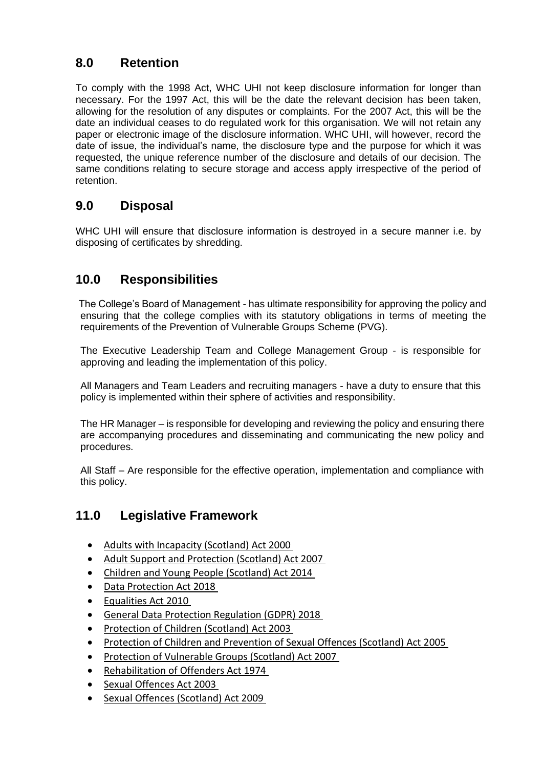#### <span id="page-5-0"></span>**8.0 Retention**

To comply with the 1998 Act, WHC UHI not keep disclosure information for longer than necessary. For the 1997 Act, this will be the date the relevant decision has been taken, allowing for the resolution of any disputes or complaints. For the 2007 Act, this will be the date an individual ceases to do regulated work for this organisation. We will not retain any paper or electronic image of the disclosure information. WHC UHI, will however, record the date of issue, the individual's name, the disclosure type and the purpose for which it was requested, the unique reference number of the disclosure and details of our decision. The same conditions relating to secure storage and access apply irrespective of the period of retention.

#### <span id="page-5-1"></span>**9.0 Disposal**

WHC UHI will ensure that disclosure information is destroyed in a secure manner i.e. by disposing of certificates by shredding.

#### <span id="page-5-2"></span>**10.0 Responsibilities**

 The College's Board of Management - has ultimate responsibility for approving the policy and ensuring that the college complies with its statutory obligations in terms of meeting the requirements of the Prevention of Vulnerable Groups Scheme (PVG).

The Executive Leadership Team and College Management Group - is responsible for approving and leading the implementation of this policy.

All Managers and Team Leaders and recruiting managers - have a duty to ensure that this policy is implemented within their sphere of activities and responsibility.

The HR Manager – is responsible for developing and reviewing the policy and ensuring there are accompanying procedures and disseminating and communicating the new policy and procedures.

All Staff – Are responsible for the effective operation, implementation and compliance with this policy.

#### <span id="page-5-3"></span>**11.0 Legislative Framework**

- [Adults with Incapacity \(Scotland\) Act 2000](https://www.legislation.gov.uk/asp/2000/4/contents)
- [Adult Support and Protection \(Scotland\) Act 2007](https://www.legislation.gov.uk/asp/2007/10/contents)
- [Children and Young People \(Scotland\) Act 2014](http://www.legislation.gov.uk/asp/2014/8/contents/enacted)
- [Data Protection Act 2018](http://www.legislation.gov.uk/ukpga/2018/12/contents/enacted)
- [Equalities Act 2010](https://www.legislation.gov.uk/ukpga/2010/15/contents)
- General Data [Protection Regulation \(GDPR\) 2018](https://ec.europa.eu/commission/priorities/justice-and-fundamental-rights/data-protection/2018-reform-eu-data-protection-rules_en)
- [Protection of Children \(Scotland\) Act 2003](https://www.legislation.gov.uk/asp/2003/5/contents)
- [Protection of Children and Prevention of Sexual Offences \(Scotland\) Act 2005](https://www.legislation.gov.uk/asp/2005/9/contents)
- [Protection of Vulnerable Groups \(Scotland\) Act 2007](https://www.legislation.gov.uk/asp/2007/14/contents)
- [Rehabilitation of Offenders Act 1974](https://www.legislation.gov.uk/ukpga/1974/53)
- [Sexual Offences Act 2003](https://www.legislation.gov.uk/ukpga/2003/42/contents)
- [Sexual Offences \(Scotland\) Act 2009](https://www.legislation.gov.uk/asp/2009/9/contents)